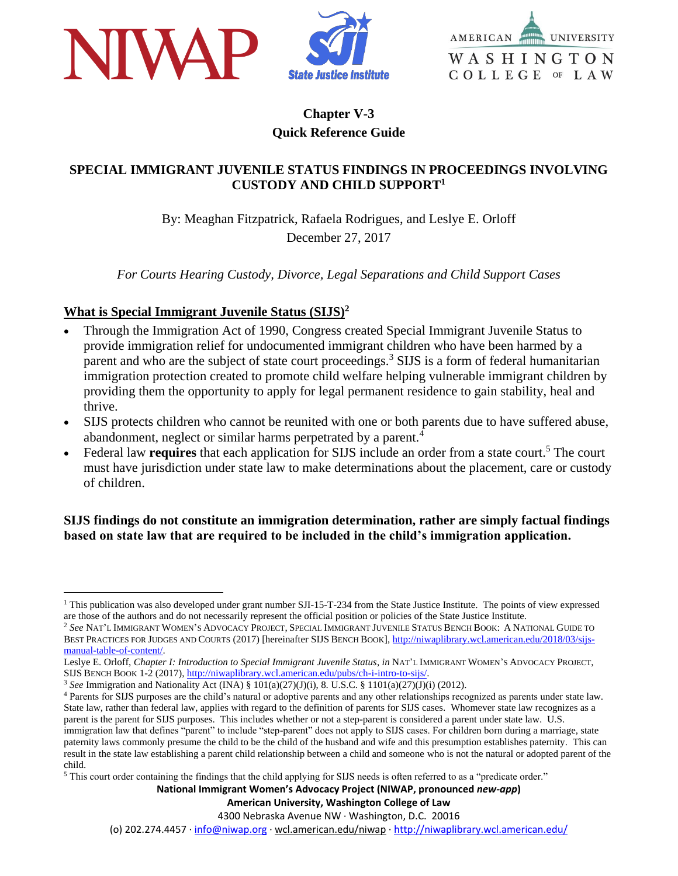



# **Chapter V-3 Quick Reference Guide**

#### **SPECIAL IMMIGRANT JUVENILE STATUS FINDINGS IN PROCEEDINGS INVOLVING CUSTODY AND CHILD SUPPORT<sup>1</sup>**

By: Meaghan Fitzpatrick, Rafaela Rodrigues, and Leslye E. Orloff December 27, 2017

*For Courts Hearing Custody, Divorce, Legal Separations and Child Support Cases*

### **What is Special Immigrant Juvenile Status (SIJS)<sup>2</sup>**

 $\overline{a}$ 

- Through the Immigration Act of 1990, Congress created Special Immigrant Juvenile Status to provide immigration relief for undocumented immigrant children who have been harmed by a parent and who are the subject of state court proceedings.<sup>3</sup> SIJS is a form of federal humanitarian immigration protection created to promote child welfare helping vulnerable immigrant children by providing them the opportunity to apply for legal permanent residence to gain stability, heal and thrive.
- SIJS protects children who cannot be reunited with one or both parents due to have suffered abuse, abandonment, neglect or similar harms perpetrated by a parent.<sup>4</sup>
- Federal law **requires** that each application for SIJS include an order from a state court.<sup>5</sup> The court must have jurisdiction under state law to make determinations about the placement, care or custody of children.

**SIJS findings do not constitute an immigration determination, rather are simply factual findings based on state law that are required to be included in the child's immigration application.** 

**National Immigrant Women's Advocacy Project (NIWAP, pronounced** *new-app***)**

#### **American University, Washington College of Law**

4300 Nebraska Avenue NW · Washington, D.C. 20016

(o) 202.274.4457 · [info@niwap.org](mailto:info@niwap.org) · wcl.american.edu/niwap · <http://niwaplibrary.wcl.american.edu/>

 $1$  This publication was also developed under grant number SJI-15-T-234 from the State Justice Institute. The points of view expressed are those of the authors and do not necessarily represent the official position or policies of the State Justice Institute.

<sup>2</sup> *See* NAT'L IMMIGRANT WOMEN'S ADVOCACY PROJECT, SPECIAL IMMIGRANT JUVENILE STATUS BENCH BOOK: A NATIONAL GUIDE TO BEST PRACTICES FOR JUDGES AND COURTS (2017) [hereinafter SIJS BENCH BOOK][, http://niwaplibrary.wcl.american.edu/2018/03/sijs](http://niwaplibrary.wcl.american.edu/2018/03/sijs-manual-table-of-content/)[manual-table-of-content/.](http://niwaplibrary.wcl.american.edu/2018/03/sijs-manual-table-of-content/)

Leslye E. Orloff, *Chapter I: Introduction to Special Immigrant Juvenile Status*, *in* NAT'L IMMIGRANT WOMEN'S ADVOCACY PROJECT, SIJS BENCH BOOK 1-2 (2017), [http://niwaplibrary.wcl.american.edu/pubs/ch-i-intro-to-sijs/.](http://niwaplibrary.wcl.american.edu/pubs/ch-i-intro-to-sijs/)

<sup>3</sup> *See* Immigration and Nationality Act (INA) § 101(a)(27)(J)(i), 8. U.S.C. § 1101(a)(27)(J)(i) (2012).

<sup>4</sup> Parents for SIJS purposes are the child's natural or adoptive parents and any other relationships recognized as parents under state law. State law, rather than federal law, applies with regard to the definition of parents for SIJS cases. Whomever state law recognizes as a parent is the parent for SIJS purposes. This includes whether or not a step-parent is considered a parent under state law. U.S. immigration law that defines "parent" to include "step-parent" does not apply to SIJS cases. For children born during a marriage, state paternity laws commonly presume the child to be the child of the husband and wife and this presumption establishes paternity. This can

result in the state law establishing a parent child relationship between a child and someone who is not the natural or adopted parent of the child.

<sup>&</sup>lt;sup>5</sup> This court order containing the findings that the child applying for SIJS needs is often referred to as a "predicate order."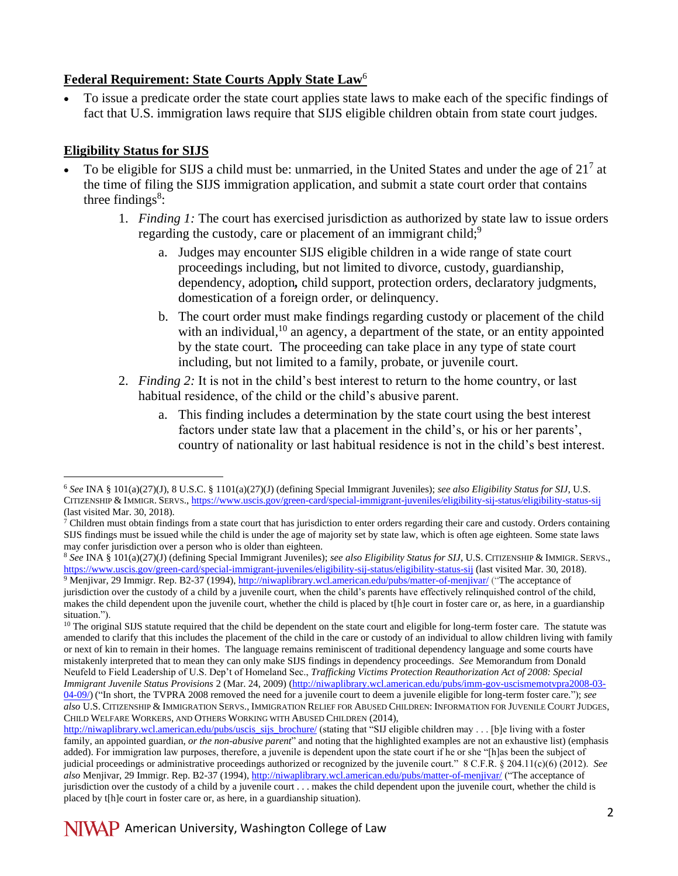### **Federal Requirement: State Courts Apply State Law**<sup>6</sup>

 To issue a predicate order the state court applies state laws to make each of the specific findings of fact that U.S. immigration laws require that SIJS eligible children obtain from state court judges.

## **Eligibility Status for SIJS**

- To be eligible for SIJS a child must be: unmarried, in the United States and under the age of  $21<sup>7</sup>$  at the time of filing the SIJS immigration application, and submit a state court order that contains three findings $8$ :
	- 1. *Finding 1:* The court has exercised jurisdiction as authorized by state law to issue orders regarding the custody, care or placement of an immigrant child;<sup>9</sup>
		- a. Judges may encounter SIJS eligible children in a wide range of state court proceedings including, but not limited to divorce, custody, guardianship, dependency, adoption*,* child support, protection orders, declaratory judgments, domestication of a foreign order, or delinquency.
		- b. The court order must make findings regarding custody or placement of the child with an individual, $10$  an agency, a department of the state, or an entity appointed by the state court. The proceeding can take place in any type of state court including, but not limited to a family, probate, or juvenile court.
	- 2. *Finding 2:* It is not in the child's best interest to return to the home country, or last habitual residence, of the child or the child's abusive parent.
		- a. This finding includes a determination by the state court using the best interest factors under state law that a placement in the child's, or his or her parents', country of nationality or last habitual residence is not in the child's best interest.

<sup>8</sup> *See* INA § 101(a)(27)(J) (defining Special Immigrant Juveniles); *see also Eligibility Status for SIJ*, U.S. CITIZENSHIP & IMMIGR. SERVS., <https://www.uscis.gov/green-card/special-immigrant-juveniles/eligibility-sij-status/eligibility-status-sij> (last visited Mar. 30, 2018). <sup>9</sup> Menjivar, 29 Immigr. Rep. B2-37 (1994)[, http://niwaplibrary.wcl.american.edu/pubs/matter-of-menjivar/](http://niwaplibrary.wcl.american.edu/pubs/matter-of-menjivar/) ("The acceptance of jurisdiction over the custody of a child by a juvenile court, when the child's parents have effectively relinquished control of the child, makes the child dependent upon the juvenile court, whether the child is placed by t[h]e court in foster care or, as here, in a guardianship

 $\overline{a}$ <sup>6</sup> *See* INA § 101(a)(27)(J), 8 U.S.C. § 1101(a)(27)(J) (defining Special Immigrant Juveniles); *see also Eligibility Status for SIJ*, U.S. CITIZENSHIP & IMMIGR. SERVS.,<https://www.uscis.gov/green-card/special-immigrant-juveniles/eligibility-sij-status/eligibility-status-sij> (last visited Mar. 30, 2018).

 $\frac{7}{1}$  Children must obtain findings from a state court that has jurisdiction to enter orders regarding their care and custody. Orders containing SIJS findings must be issued while the child is under the age of majority set by state law, which is often age eighteen. Some state laws may confer jurisdiction over a person who is older than eighteen.

situation.").  $10$  The original SIJS statute required that the child be dependent on the state court and eligible for long-term foster care. The statute was amended to clarify that this includes the placement of the child in the care or custody of an individual to allow children living with family or next of kin to remain in their homes. The language remains reminiscent of traditional dependency language and some courts have mistakenly interpreted that to mean they can only make SIJS findings in dependency proceedings. *See* Memorandum from Donald Neufeld to Field Leadership of U.S. Dep't of Homeland Sec., *Trafficking Victims Protection Reauthorization Act of 2008: Special Immigrant Juvenile Status Provisions* 2 (Mar. 24, 2009) [\(http://niwaplibrary.wcl.american.edu/pubs/imm-gov-uscismemotvpra2008-03-](http://niwaplibrary.wcl.american.edu/pubs/imm-gov-uscismemotvpra2008-03-04-09/) [04-09/\)](http://niwaplibrary.wcl.american.edu/pubs/imm-gov-uscismemotvpra2008-03-04-09/) ("In short, the TVPRA 2008 removed the need for a juvenile court to deem a juvenile eligible for long-term foster care."); *see also* U.S. CITIZENSHIP & IMMIGRATION SERVS., IMMIGRATION RELIEF FOR ABUSED CHILDREN: INFORMATION FOR JUVENILE COURT JUDGES, CHILD WELFARE WORKERS, AND OTHERS WORKING WITH ABUSED CHILDREN (2014),

[http://niwaplibrary.wcl.american.edu/pubs/uscis\\_sijs\\_brochure/](http://niwaplibrary.wcl.american.edu/pubs/uscis_sijs_brochure/) (stating that "SIJ eligible children may . . . [b]e living with a foster family, an appointed guardian, *or the non-abusive parent*" and noting that the highlighted examples are not an exhaustive list) (emphasis added). For immigration law purposes, therefore, a juvenile is dependent upon the state court if he or she "[h]as been the subject of judicial proceedings or administrative proceedings authorized or recognized by the juvenile court." 8 C.F.R. § 204.11(c)(6) (2012). *See also* Menjivar, 29 Immigr. Rep. B2-37 (1994)[, http://niwaplibrary.wcl.american.edu/pubs/matter-of-menjivar/](http://niwaplibrary.wcl.american.edu/pubs/matter-of-menjivar/) ("The acceptance of jurisdiction over the custody of a child by a juvenile court . . . makes the child dependent upon the juvenile court, whether the child is placed by t[h]e court in foster care or, as here, in a guardianship situation).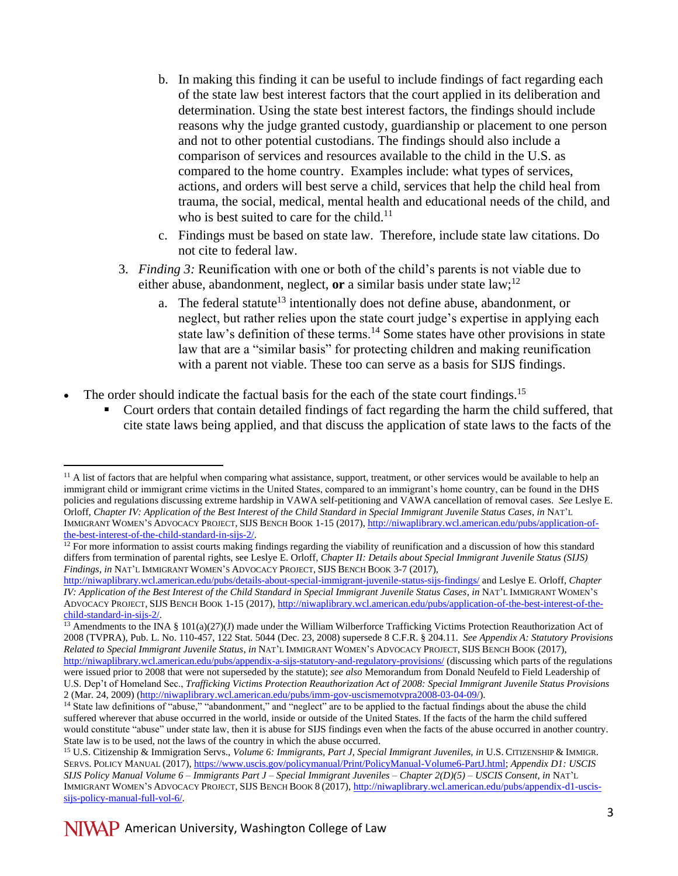- b. In making this finding it can be useful to include findings of fact regarding each of the state law best interest factors that the court applied in its deliberation and determination. Using the state best interest factors, the findings should include reasons why the judge granted custody, guardianship or placement to one person and not to other potential custodians. The findings should also include a comparison of services and resources available to the child in the U.S. as compared to the home country. Examples include: what types of services, actions, and orders will best serve a child, services that help the child heal from trauma, the social, medical, mental health and educational needs of the child, and who is best suited to care for the child.<sup>11</sup>
- c. Findings must be based on state law. Therefore, include state law citations. Do not cite to federal law.
- 3. *Finding 3:* Reunification with one or both of the child's parents is not viable due to either abuse, abandonment, neglect, **or** a similar basis under state  $law$ ;<sup>12</sup>
	- a. The federal statute<sup>13</sup> intentionally does not define abuse, abandonment, or neglect, but rather relies upon the state court judge's expertise in applying each state law's definition of these terms.<sup>14</sup> Some states have other provisions in state law that are a "similar basis" for protecting children and making reunification with a parent not viable. These too can serve as a basis for SIJS findings.
- The order should indicate the factual basis for the each of the state court findings.<sup>15</sup>
	- Court orders that contain detailed findings of fact regarding the harm the child suffered, that cite state laws being applied, and that discuss the application of state laws to the facts of the

 $<sup>11</sup>$  A list of factors that are helpful when comparing what assistance, support, treatment, or other services would be available to help an</sup> immigrant child or immigrant crime victims in the United States, compared to an immigrant's home country, can be found in the DHS policies and regulations discussing extreme hardship in VAWA self-petitioning and VAWA cancellation of removal cases. *See* Leslye E. Orloff, *Chapter IV: Application of the Best Interest of the Child Standard in Special Immigrant Juvenile Status Cases*, *in* NAT'L IMMIGRANT WOMEN'S ADVOCACY PROJECT, SIJS BENCH BOOK 1-15 (2017)[, http://niwaplibrary.wcl.american.edu/pubs/application-of](http://niwaplibrary.wcl.american.edu/pubs/application-of-the-best-interest-of-the-child-standard-in-sijs-2/)[the-best-interest-of-the-child-standard-in-sijs-2/.](http://niwaplibrary.wcl.american.edu/pubs/application-of-the-best-interest-of-the-child-standard-in-sijs-2/) 

 $12$  For more information to assist courts making findings regarding the viability of reunification and a discussion of how this standard differs from termination of parental rights, see Leslye E. Orloff, *Chapter II: Details about Special Immigrant Juvenile Status (SIJS) Findings*, *in* NAT'L IMMIGRANT WOMEN'S ADVOCACY PROJECT, SIJS BENCH BOOK 3-7 (2017),

<http://niwaplibrary.wcl.american.edu/pubs/details-about-special-immigrant-juvenile-status-sijs-findings/> and Leslye E. Orloff, *Chapter IV: Application of the Best Interest of the Child Standard in Special Immigrant Juvenile Status Cases*, *in* NAT'L IMMIGRANT WOMEN'S ADVOCACY PROJECT, SIJS BENCH BOOK 1-15 (2017), [http://niwaplibrary.wcl.american.edu/pubs/application-of-the-best-interest-of-the](http://niwaplibrary.wcl.american.edu/pubs/application-of-the-best-interest-of-the-child-standard-in-sijs-2/)[child-standard-in-sijs-2/.](http://niwaplibrary.wcl.american.edu/pubs/application-of-the-best-interest-of-the-child-standard-in-sijs-2/)

 $\frac{13}{13}$  Amendments to the INA § 101(a)(27)(J) made under the William Wilberforce Trafficking Victims Protection Reauthorization Act of 2008 (TVPRA), Pub. L. No. 110-457, 122 Stat. 5044 (Dec. 23, 2008) supersede 8 C.F.R. § 204.11. *See Appendix A: Statutory Provisions Related to Special Immigrant Juvenile Status*, *in* NAT'L IMMIGRANT WOMEN'S ADVOCACY PROJECT, SIJS BENCH BOOK (2017), <http://niwaplibrary.wcl.american.edu/pubs/appendix-a-sijs-statutory-and-regulatory-provisions/> (discussing which parts of the regulations were issued prior to 2008 that were not superseded by the statute); *see also* Memorandum from Donald Neufeld to Field Leadership of U.S. Dep't of Homeland Sec., *Trafficking Victims Protection Reauthorization Act of 2008: Special Immigrant Juvenile Status Provisions* 2 (Mar. 24, 2009) [\(http://niwaplibrary.wcl.american.edu/pubs/imm-gov-uscismemotvpra2008-03-04-09/\)](http://niwaplibrary.wcl.american.edu/pubs/imm-gov-uscismemotvpra2008-03-04-09/).

<sup>&</sup>lt;sup>14</sup> State law definitions of "abuse," "abandonment," and "neglect" are to be applied to the factual findings about the abuse the child suffered wherever that abuse occurred in the world, inside or outside of the United States. If the facts of the harm the child suffered would constitute "abuse" under state law, then it is abuse for SIJS findings even when the facts of the abuse occurred in another country. State law is to be used, not the laws of the country in which the abuse occurred.

<sup>15</sup> U.S. Citizenship & Immigration Servs., *Volume 6: Immigrants, Part J, Special Immigrant Juveniles, in* U.S. CITIZENSHIP & IMMIGR. SERVS. POLICY MANUAL (2017), [https://www.uscis.gov/policymanual/Print/PolicyManual-Volume6-PartJ.html;](https://www.uscis.gov/policymanual/Print/PolicyManual-Volume6-PartJ.html) *Appendix D1: USCIS SIJS Policy Manual Volume 6 – Immigrants Part J – Special Immigrant Juveniles – Chapter 2(D)(5) – USCIS Consent, in* NAT'L IMMIGRANT WOMEN'S ADVOCACY PROJECT, SIJS BENCH BOOK 8 (2017)[, http://niwaplibrary.wcl.american.edu/pubs/appendix-d1-uscis](http://niwaplibrary.wcl.american.edu/pubs/appendix-d1-uscis-sijs-policy-manual-full-vol-6/)[sijs-policy-manual-full-vol-6/.](http://niwaplibrary.wcl.american.edu/pubs/appendix-d1-uscis-sijs-policy-manual-full-vol-6/)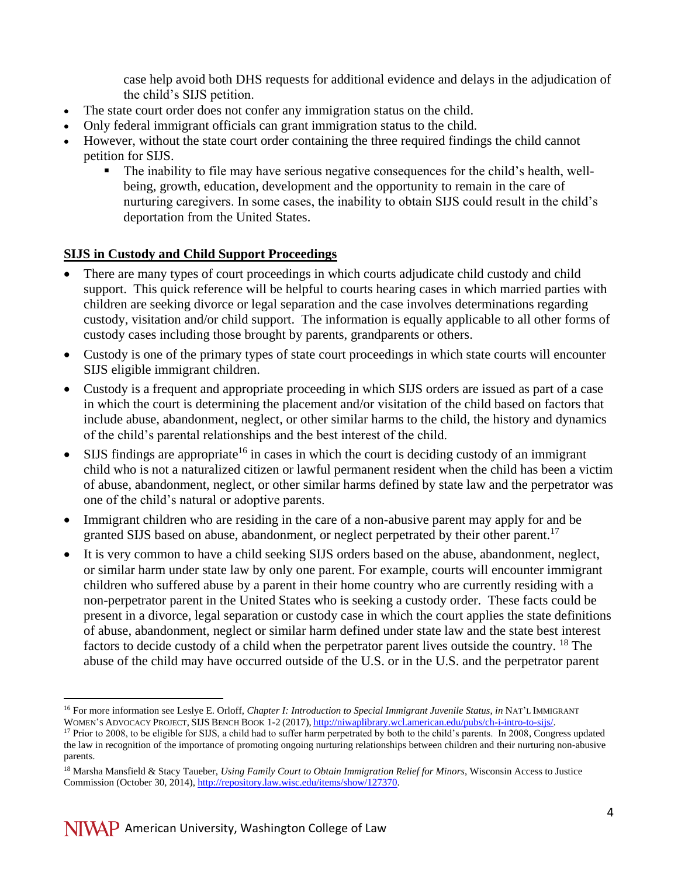case help avoid both DHS requests for additional evidence and delays in the adjudication of the child's SIJS petition.

- The state court order does not confer any immigration status on the child.
- Only federal immigrant officials can grant immigration status to the child.
- However, without the state court order containing the three required findings the child cannot petition for SIJS.
	- The inability to file may have serious negative consequences for the child's health, wellbeing, growth, education, development and the opportunity to remain in the care of nurturing caregivers. In some cases, the inability to obtain SIJS could result in the child's deportation from the United States.

### **SIJS in Custody and Child Support Proceedings**

- There are many types of court proceedings in which courts adjudicate child custody and child support. This quick reference will be helpful to courts hearing cases in which married parties with children are seeking divorce or legal separation and the case involves determinations regarding custody, visitation and/or child support. The information is equally applicable to all other forms of custody cases including those brought by parents, grandparents or others.
- Custody is one of the primary types of state court proceedings in which state courts will encounter SIJS eligible immigrant children.
- Custody is a frequent and appropriate proceeding in which SIJS orders are issued as part of a case in which the court is determining the placement and/or visitation of the child based on factors that include abuse, abandonment, neglect, or other similar harms to the child, the history and dynamics of the child's parental relationships and the best interest of the child.
- SIJS findings are appropriate<sup>16</sup> in cases in which the court is deciding custody of an immigrant child who is not a naturalized citizen or lawful permanent resident when the child has been a victim of abuse, abandonment, neglect, or other similar harms defined by state law and the perpetrator was one of the child's natural or adoptive parents.
- Immigrant children who are residing in the care of a non-abusive parent may apply for and be granted SIJS based on abuse, abandonment, or neglect perpetrated by their other parent.<sup>17</sup>
- It is very common to have a child seeking SIJS orders based on the abuse, abandonment, neglect, or similar harm under state law by only one parent. For example, courts will encounter immigrant children who suffered abuse by a parent in their home country who are currently residing with a non-perpetrator parent in the United States who is seeking a custody order. These facts could be present in a divorce, legal separation or custody case in which the court applies the state definitions of abuse, abandonment, neglect or similar harm defined under state law and the state best interest factors to decide custody of a child when the perpetrator parent lives outside the country. <sup>18</sup> The abuse of the child may have occurred outside of the U.S. or in the U.S. and the perpetrator parent

 $\overline{a}$ <sup>16</sup> For more information see Leslye E. Orloff, *Chapter I: Introduction to Special Immigrant Juvenile Status*, *in* NAT'L IMMIGRANT WOMEN'S ADVOCACY PROJECT, SIJS BENCH BOOK 1-2 (2017), [http://niwaplibrary.wcl.american.edu/pubs/ch-i-intro-to-sijs/.](http://niwaplibrary.wcl.american.edu/pubs/ch-i-intro-to-sijs/)

<sup>&</sup>lt;sup>17</sup> Prior to 2008, to be eligible for SIJS, a child had to suffer harm perpetrated by both to the child's parents. In 2008, Congress updated the law in recognition of the importance of promoting ongoing nurturing relationships between children and their nurturing non-abusive parents.

<sup>18</sup> Marsha Mansfield & Stacy Taueber, *Using Family Court to Obtain Immigration Relief for Minors*, Wisconsin Access to Justice Commission (October 30, 2014)[, http://repository.law.wisc.edu/items/show/127370.](http://repository.law.wisc.edu/items/show/127370)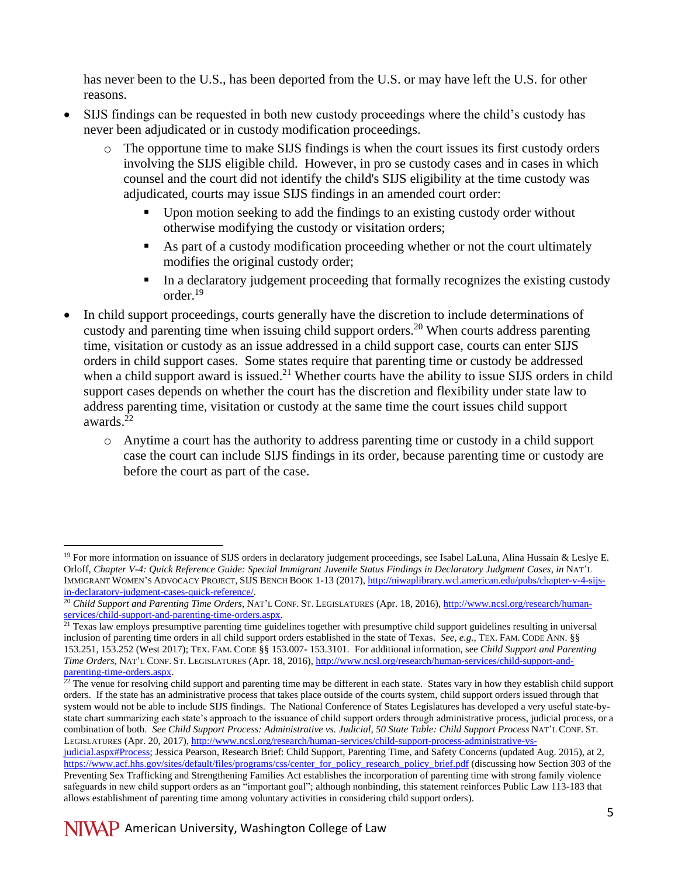has never been to the U.S., has been deported from the U.S. or may have left the U.S. for other reasons.

- SIJS findings can be requested in both new custody proceedings where the child's custody has never been adjudicated or in custody modification proceedings.
	- o The opportune time to make SIJS findings is when the court issues its first custody orders involving the SIJS eligible child. However, in pro se custody cases and in cases in which counsel and the court did not identify the child's SIJS eligibility at the time custody was adjudicated, courts may issue SIJS findings in an amended court order:
		- Upon motion seeking to add the findings to an existing custody order without otherwise modifying the custody or visitation orders;
		- As part of a custody modification proceeding whether or not the court ultimately modifies the original custody order;
		- In a declaratory judgement proceeding that formally recognizes the existing custody order.<sup>19</sup>
- In child support proceedings, courts generally have the discretion to include determinations of custody and parenting time when issuing child support orders.<sup>20</sup> When courts address parenting time, visitation or custody as an issue addressed in a child support case, courts can enter SIJS orders in child support cases. Some states require that parenting time or custody be addressed when a child support award is issued.<sup>21</sup> Whether courts have the ability to issue SIJS orders in child support cases depends on whether the court has the discretion and flexibility under state law to address parenting time, visitation or custody at the same time the court issues child support awards.<sup>22</sup>
	- o Anytime a court has the authority to address parenting time or custody in a child support case the court can include SIJS findings in its order, because parenting time or custody are before the court as part of the case.

 $\overline{a}$  $19$  For more information on issuance of SIJS orders in declaratory judgement proceedings, see Isabel LaLuna, Alina Hussain & Leslye E. Orloff, *Chapter V-4: Quick Reference Guide: Special Immigrant Juvenile Status Findings in Declaratory Judgment Cases*, *in* NAT'L IMMIGRANT WOMEN'S ADVOCACY PROJECT, SIJS BENCH BOOK 1-13 (2017)[, http://niwaplibrary.wcl.american.edu/pubs/chapter-v-4-sijs](http://niwaplibrary.wcl.american.edu/pubs/chapter-v-4-sijs-in-declaratory-judgment-cases-quick-reference/)[in-declaratory-judgment-cases-quick-reference/.](http://niwaplibrary.wcl.american.edu/pubs/chapter-v-4-sijs-in-declaratory-judgment-cases-quick-reference/)

<sup>20</sup> *Child Support and Parenting Time Orders*, NAT'L CONF. ST. LEGISLATURES (Apr. 18, 2016), [http://www.ncsl.org/research/human](http://www.ncsl.org/research/‌human-services/child-support-and-parenting-time-orders.aspx)[services/child-support-and-parenting-time-orders.aspx.](http://www.ncsl.org/research/‌human-services/child-support-and-parenting-time-orders.aspx)

 $21$  Texas law employs presumptive parenting time guidelines together with presumptive child support guidelines resulting in universal inclusion of parenting time orders in all child support orders established in the state of Texas. *See, e.g.*, TEX. FAM. CODE ANN. §§ 153.251, 153.252 (West 2017); TEX. FAM. CODE §§ 153.007- 153.3101*.* For additional information, see *Child Support and Parenting Time Orders*, NAT'L CONF. ST. LEGISLATURES (Apr. 18, 2016), [http://www.ncsl.org/research/human-services/child-support-and](http://www.ncsl.org/research/‌human-services/child-support-and-parenting-time-orders.aspx)[parenting-time-orders.aspx.](http://www.ncsl.org/research/‌human-services/child-support-and-parenting-time-orders.aspx)

 $^{22}$  The venue for resolving child support and parenting time may be different in each state. States vary in how they establish child support orders. If the state has an administrative process that takes place outside of the courts system, child support orders issued through that system would not be able to include SIJS findings. The National Conference of States Legislatures has developed a very useful state-bystate chart summarizing each state's approach to the issuance of child support orders through administrative process, judicial process, or a combination of both. *See Child Support Process: Administrative vs. Judicial, 50 State Table: Child Support Process* NAT'L CONF. ST. LEGISLATURES (Apr. 20, 2017), [http://www.ncsl.org/research/human-services/child-support-process-administrative-vs-](http://www.ncsl.org/research/human-services/child-support-process-administrative-vs-judicial.aspx#Process)

[judicial.aspx#Process;](http://www.ncsl.org/research/human-services/child-support-process-administrative-vs-judicial.aspx#Process) Jessica Pearson, Research Brief: Child Support, Parenting Time, and Safety Concerns (updated Aug. 2015), at 2, [https://www.acf.hhs.gov/sites/default/files/programs/css/center\\_for\\_policy\\_research\\_policy\\_brief.pdf](https://www.acf.hhs.gov/sites/default/files/programs/css/center_for_policy_research_policy_brief.pdf) (discussing how Section 303 of the Preventing Sex Trafficking and Strengthening Families Act establishes the incorporation of parenting time with strong family violence safeguards in new child support orders as an "important goal"; although nonbinding, this statement reinforces Public Law 113-183 that allows establishment of parenting time among voluntary activities in considering child support orders).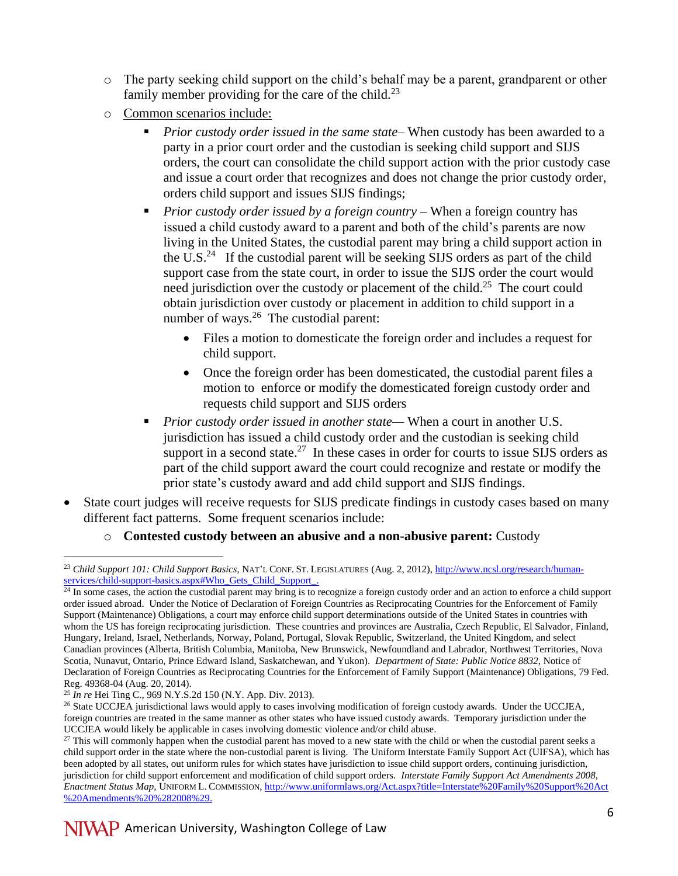- o The party seeking child support on the child's behalf may be a parent, grandparent or other family member providing for the care of the child.<sup>23</sup>
- o Common scenarios include:
	- *Prior custody order issued in the same state–* When custody has been awarded to a party in a prior court order and the custodian is seeking child support and SIJS orders, the court can consolidate the child support action with the prior custody case and issue a court order that recognizes and does not change the prior custody order, orders child support and issues SIJS findings;
	- *Prior custody order issued by a foreign country –* When a foreign country has issued a child custody award to a parent and both of the child's parents are now living in the United States, the custodial parent may bring a child support action in the U.S. $<sup>24</sup>$  If the custodial parent will be seeking SIJS orders as part of the child</sup> support case from the state court, in order to issue the SIJS order the court would need jurisdiction over the custody or placement of the child.<sup>25</sup> The court could obtain jurisdiction over custody or placement in addition to child support in a number of ways.<sup>26</sup> The custodial parent:
		- Files a motion to domesticate the foreign order and includes a request for child support.
		- Once the foreign order has been domesticated, the custodial parent files a motion to enforce or modify the domesticated foreign custody order and requests child support and SIJS orders
	- *Prior custody order issued in another state—* When a court in another U.S. jurisdiction has issued a child custody order and the custodian is seeking child support in a second state.<sup>27</sup> In these cases in order for courts to issue SIJS orders as part of the child support award the court could recognize and restate or modify the prior state's custody award and add child support and SIJS findings.
- State court judges will receive requests for SIJS predicate findings in custody cases based on many different fact patterns. Some frequent scenarios include:
	- o **Contested custody between an abusive and a non-abusive parent:** Custody

 $\overline{a}$ <sup>23</sup> *Child Support 101: Child Support Basics*, NAT'L CONF. ST. LEGISLATURES (Aug. 2, 2012), [http://www.ncsl.org/research/human](http://www.ncsl.org/research/‌human-services/‌child-support-basics.aspx#Who_Gets_Child_Support_)[services/child-support-basics.aspx#Who\\_Gets\\_Child\\_Support\\_.](http://www.ncsl.org/research/‌human-services/‌child-support-basics.aspx#Who_Gets_Child_Support_)

 $24$  In some cases, the action the custodial parent may bring is to recognize a foreign custody order and an action to enforce a child support order issued abroad. Under the Notice of Declaration of Foreign Countries as Reciprocating Countries for the Enforcement of Family Support (Maintenance) Obligations, a court may enforce child support determinations outside of the United States in countries with whom the US has foreign reciprocating jurisdiction. These countries and provinces are Australia, Czech Republic, El Salvador, Finland, Hungary, Ireland, Israel, Netherlands, Norway, Poland, Portugal, Slovak Republic, Switzerland, the United Kingdom, and select Canadian provinces (Alberta, British Columbia, Manitoba, New Brunswick, Newfoundland and Labrador, Northwest Territories, Nova Scotia, Nunavut, Ontario, Prince Edward Island, Saskatchewan, and Yukon). *Department of State: Public Notice 8832*, Notice of Declaration of Foreign Countries as Reciprocating Countries for the Enforcement of Family Support (Maintenance) Obligations, 79 Fed. Reg. 49368-04 (Aug. 20, 2014).

<sup>25</sup> *In re* Hei Ting C., 969 N.Y.S.2d 150 (N.Y. App. Div. 2013).

<sup>&</sup>lt;sup>26</sup> State UCCJEA jurisdictional laws would apply to cases involving modification of foreign custody awards. Under the UCCJEA, foreign countries are treated in the same manner as other states who have issued custody awards. Temporary jurisdiction under the UCCJEA would likely be applicable in cases involving domestic violence and/or child abuse.

<sup>&</sup>lt;sup>27</sup> This will commonly happen when the custodial parent has moved to a new state with the child or when the custodial parent seeks a child support order in the state where the non-custodial parent is living. The Uniform Interstate Family Support Act (UIFSA), which has been adopted by all states, out uniform rules for which states have jurisdiction to issue child support orders, continuing jurisdiction, jurisdiction for child support enforcement and modification of child support orders. *Interstate Family Support Act Amendments 2008, Enactment Status Map*, UNIFORM L. COMMISSION, [http://www.uniformlaws.org/Act.aspx?title=Interstate%20Family%20Support%20Act](http://www.uniformlaws.org/Act.aspx?title=‌Interstate%20Family‌%20Support%20‌Act‌%20‌Amendments%20%282008%29) [%20Amendments%20%282008%29.](http://www.uniformlaws.org/Act.aspx?title=‌Interstate%20Family‌%20Support%20‌Act‌%20‌Amendments%20%282008%29)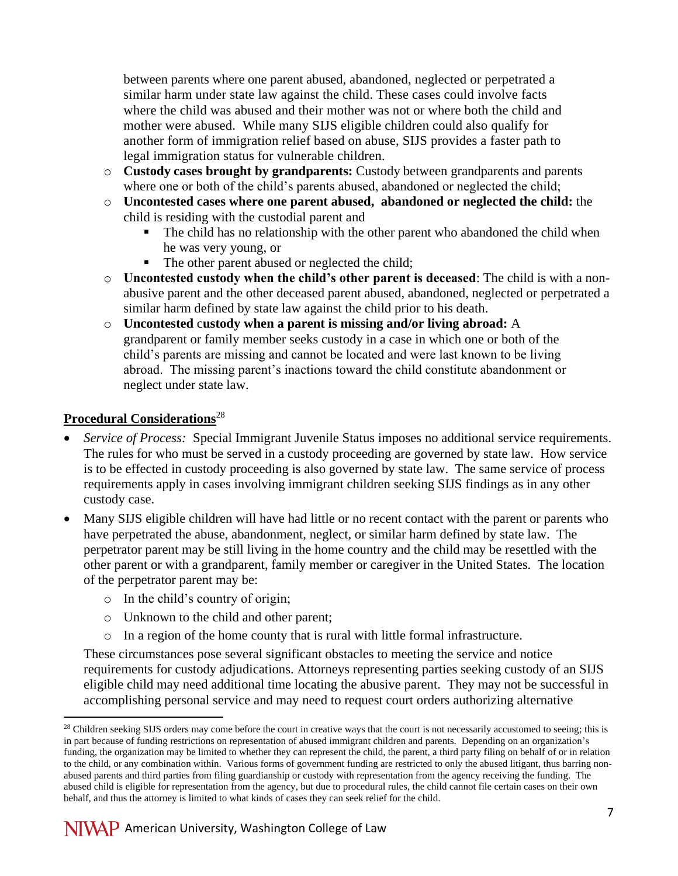between parents where one parent abused, abandoned, neglected or perpetrated a similar harm under state law against the child. These cases could involve facts where the child was abused and their mother was not or where both the child and mother were abused. While many SIJS eligible children could also qualify for another form of immigration relief based on abuse, SIJS provides a faster path to legal immigration status for vulnerable children.

- o **Custody cases brought by grandparents:** Custody between grandparents and parents where one or both of the child's parents abused, abandoned or neglected the child;
- o **Uncontested cases where one parent abused, abandoned or neglected the child:** the child is residing with the custodial parent and
	- The child has no relationship with the other parent who abandoned the child when he was very young, or
	- The other parent abused or neglected the child:
- o **Uncontested custody when the child's other parent is deceased**: The child is with a nonabusive parent and the other deceased parent abused, abandoned, neglected or perpetrated a similar harm defined by state law against the child prior to his death.
- o **Uncontested** c**ustody when a parent is missing and/or living abroad:** A grandparent or family member seeks custody in a case in which one or both of the child's parents are missing and cannot be located and were last known to be living abroad. The missing parent's inactions toward the child constitute abandonment or neglect under state law.

### **Procedural Considerations**<sup>28</sup>

 $\overline{a}$ 

- *Service of Process:* Special Immigrant Juvenile Status imposes no additional service requirements. The rules for who must be served in a custody proceeding are governed by state law. How service is to be effected in custody proceeding is also governed by state law. The same service of process requirements apply in cases involving immigrant children seeking SIJS findings as in any other custody case.
- Many SIJS eligible children will have had little or no recent contact with the parent or parents who have perpetrated the abuse, abandonment, neglect, or similar harm defined by state law. The perpetrator parent may be still living in the home country and the child may be resettled with the other parent or with a grandparent, family member or caregiver in the United States. The location of the perpetrator parent may be:
	- o In the child's country of origin;
	- o Unknown to the child and other parent;
	- $\circ$  In a region of the home county that is rural with little formal infrastructure.

These circumstances pose several significant obstacles to meeting the service and notice requirements for custody adjudications. Attorneys representing parties seeking custody of an SIJS eligible child may need additional time locating the abusive parent. They may not be successful in accomplishing personal service and may need to request court orders authorizing alternative

<sup>&</sup>lt;sup>28</sup> Children seeking SIJS orders may come before the court in creative ways that the court is not necessarily accustomed to seeing; this is in part because of funding restrictions on representation of abused immigrant children and parents. Depending on an organization's funding, the organization may be limited to whether they can represent the child, the parent, a third party filing on behalf of or in relation to the child, or any combination within. Various forms of government funding are restricted to only the abused litigant, thus barring nonabused parents and third parties from filing guardianship or custody with representation from the agency receiving the funding. The abused child is eligible for representation from the agency, but due to procedural rules, the child cannot file certain cases on their own behalf, and thus the attorney is limited to what kinds of cases they can seek relief for the child.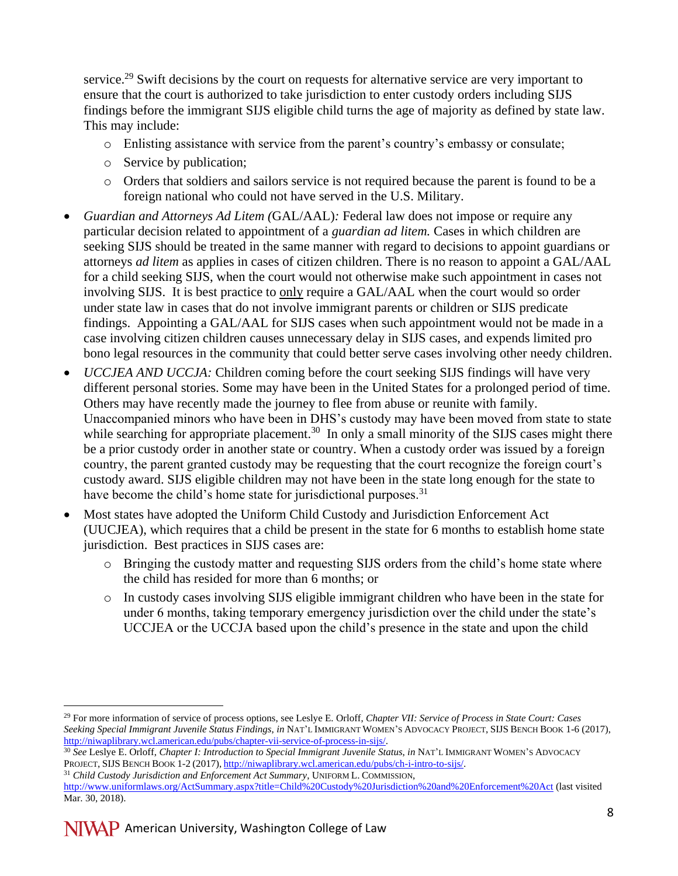service.<sup>29</sup> Swift decisions by the court on requests for alternative service are very important to ensure that the court is authorized to take jurisdiction to enter custody orders including SIJS findings before the immigrant SIJS eligible child turns the age of majority as defined by state law. This may include:

- o Enlisting assistance with service from the parent's country's embassy or consulate;
- o Service by publication;
- o Orders that soldiers and sailors service is not required because the parent is found to be a foreign national who could not have served in the U.S. Military.
- *Guardian and Attorneys Ad Litem (*GAL/AAL)*:* Federal law does not impose or require any particular decision related to appointment of a *guardian ad litem.* Cases in which children are seeking SIJS should be treated in the same manner with regard to decisions to appoint guardians or attorneys *ad litem* as applies in cases of citizen children. There is no reason to appoint a GAL/AAL for a child seeking SIJS, when the court would not otherwise make such appointment in cases not involving SIJS. It is best practice to only require a GAL/AAL when the court would so order under state law in cases that do not involve immigrant parents or children or SIJS predicate findings. Appointing a GAL/AAL for SIJS cases when such appointment would not be made in a case involving citizen children causes unnecessary delay in SIJS cases, and expends limited pro bono legal resources in the community that could better serve cases involving other needy children.
- *UCCJEA AND UCCJA:* Children coming before the court seeking SIJS findings will have very different personal stories. Some may have been in the United States for a prolonged period of time. Others may have recently made the journey to flee from abuse or reunite with family. Unaccompanied minors who have been in DHS's custody may have been moved from state to state while searching for appropriate placement.<sup>30</sup> In only a small minority of the SIJS cases might there be a prior custody order in another state or country. When a custody order was issued by a foreign country, the parent granted custody may be requesting that the court recognize the foreign court's custody award. SIJS eligible children may not have been in the state long enough for the state to have become the child's home state for jurisdictional purposes. $31$
- Most states have adopted the Uniform Child Custody and Jurisdiction Enforcement Act (UUCJEA), which requires that a child be present in the state for 6 months to establish home state jurisdiction. Best practices in SIJS cases are:
	- o Bringing the custody matter and requesting SIJS orders from the child's home state where the child has resided for more than 6 months; or
	- o In custody cases involving SIJS eligible immigrant children who have been in the state for under 6 months, taking temporary emergency jurisdiction over the child under the state's UCCJEA or the UCCJA based upon the child's presence in the state and upon the child

<sup>29</sup> For more information of service of process options, see Leslye E. Orloff, *Chapter VII: Service of Process in State Court: Cases Seeking Special Immigrant Juvenile Status Findings*, *in* NAT'L IMMIGRANT WOMEN'S ADVOCACY PROJECT, SIJS BENCH BOOK 1-6 (2017), [http://niwaplibrary.wcl.american.edu/pubs/chapter-vii-service-of-process-in-sijs/.](http://niwaplibrary.wcl.american.edu/pubs/chapter-vii-service-of-process-in-sijs/)

<sup>30</sup> *See* Leslye E. Orloff, *Chapter I: Introduction to Special Immigrant Juvenile Status*, *in* NAT'L IMMIGRANT WOMEN'S ADVOCACY PROJECT, SIJS BENCH BOOK 1-2 (2017), [http://niwaplibrary.wcl.american.edu/pubs/ch-i-intro-to-sijs/.](http://niwaplibrary.wcl.american.edu/pubs/ch-i-intro-to-sijs/)

<sup>31</sup> *Child Custody Jurisdiction and Enforcement Act Summary*, UNIFORM L. COMMISSION, <http://www.uniformlaws.org/ActSummary.aspx?title=Child%20Custody%20Jurisdiction%20and%20Enforcement%20Act> (last visited Mar. 30, 2018).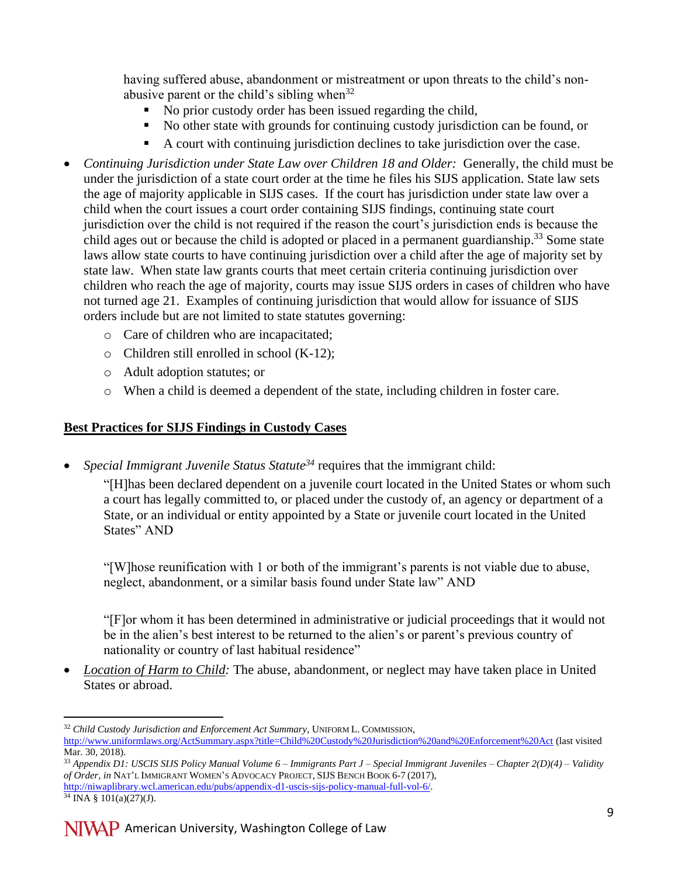having suffered abuse, abandonment or mistreatment or upon threats to the child's nonabusive parent or the child's sibling when  $32$ 

- No prior custody order has been issued regarding the child,
- No other state with grounds for continuing custody jurisdiction can be found, or
- A court with continuing jurisdiction declines to take jurisdiction over the case.
- Continuing Jurisdiction under State Law over Children 18 and Older: Generally, the child must be under the jurisdiction of a state court order at the time he files his SIJS application. State law sets the age of majority applicable in SIJS cases. If the court has jurisdiction under state law over a child when the court issues a court order containing SIJS findings, continuing state court jurisdiction over the child is not required if the reason the court's jurisdiction ends is because the child ages out or because the child is adopted or placed in a permanent guardianship.<sup>33</sup> Some state laws allow state courts to have continuing jurisdiction over a child after the age of majority set by state law. When state law grants courts that meet certain criteria continuing jurisdiction over children who reach the age of majority, courts may issue SIJS orders in cases of children who have not turned age 21. Examples of continuing jurisdiction that would allow for issuance of SIJS orders include but are not limited to state statutes governing:
	- o Care of children who are incapacitated;
	- o Children still enrolled in school (K-12);
	- o Adult adoption statutes; or
	- o When a child is deemed a dependent of the state, including children in foster care.

#### **Best Practices for SIJS Findings in Custody Cases**

*Special Immigrant Juvenile Status Statute<sup>34</sup>* requires that the immigrant child:

"[H]has been declared dependent on a juvenile court located in the United States or whom such a court has legally committed to, or placed under the custody of, an agency or department of a State, or an individual or entity appointed by a State or juvenile court located in the United States" AND

"[W]hose reunification with 1 or both of the immigrant's parents is not viable due to abuse, neglect, abandonment, or a similar basis found under State law" AND

"[F]or whom it has been determined in administrative or judicial proceedings that it would not be in the alien's best interest to be returned to the alien's or parent's previous country of nationality or country of last habitual residence"

 *Location of Harm to Child:* The abuse, abandonment, or neglect may have taken place in United States or abroad.

<sup>32</sup> *Child Custody Jurisdiction and Enforcement Act Summary*, UNIFORM L. COMMISSION, <http://www.uniformlaws.org/ActSummary.aspx?title=Child%20Custody%20Jurisdiction%20and%20Enforcement%20Act> (last visited Mar. 30, 2018).

<sup>33</sup> *Appendix D1: USCIS SIJS Policy Manual Volume 6 – Immigrants Part J – Special Immigrant Juveniles – Chapter 2(D)(4) – Validity of Order, in* NAT'L IMMIGRANT WOMEN'S ADVOCACY PROJECT, SIJS BENCH BOOK 6-7 (2017),

[http://niwaplibrary.wcl.american.edu/pubs/appendix-d1-uscis-sijs-policy-manual-full-vol-6/.](http://niwaplibrary.wcl.american.edu/pubs/appendix-d1-uscis-sijs-policy-manual-full-vol-6/)  $34$  INA § 101(a)(27)(J).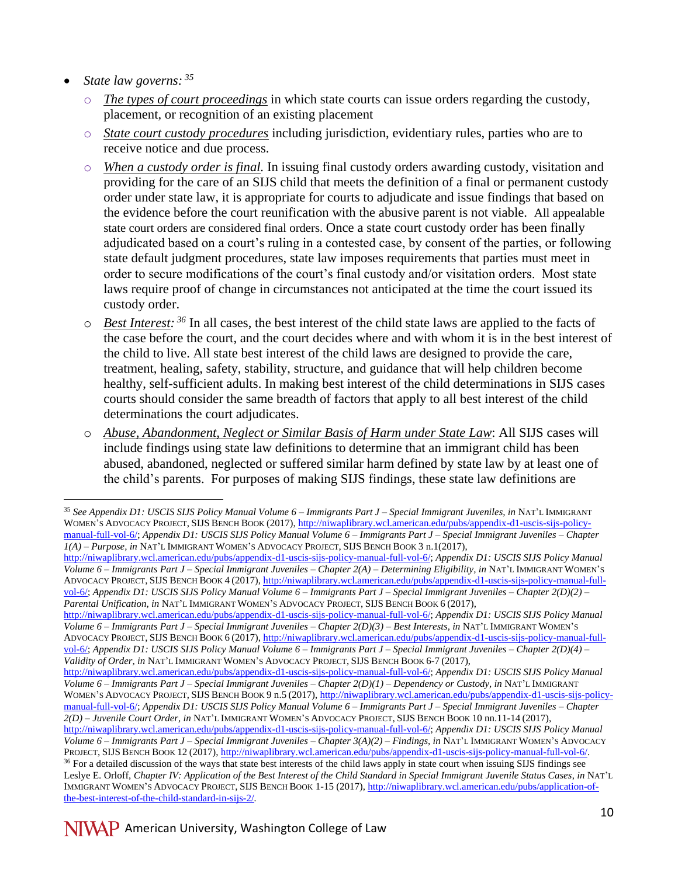- *State law governs: <sup>35</sup>*
	- o *The types of court proceedings* in which state courts can issue orders regarding the custody, placement, or recognition of an existing placement
	- o *State court custody procedures* including jurisdiction, evidentiary rules, parties who are to receive notice and due process.
	- o *When a custody order is final.* In issuing final custody orders awarding custody, visitation and providing for the care of an SIJS child that meets the definition of a final or permanent custody order under state law, it is appropriate for courts to adjudicate and issue findings that based on the evidence before the court reunification with the abusive parent is not viable. All appealable state court orders are considered final orders. Once a state court custody order has been finally adjudicated based on a court's ruling in a contested case, by consent of the parties, or following state default judgment procedures, state law imposes requirements that parties must meet in order to secure modifications of the court's final custody and/or visitation orders. Most state laws require proof of change in circumstances not anticipated at the time the court issued its custody order.
	- o *Best Interest: <sup>36</sup>* In all cases, the best interest of the child state laws are applied to the facts of the case before the court, and the court decides where and with whom it is in the best interest of the child to live. All state best interest of the child laws are designed to provide the care, treatment, healing, safety, stability, structure, and guidance that will help children become healthy, self-sufficient adults. In making best interest of the child determinations in SIJS cases courts should consider the same breadth of factors that apply to all best interest of the child determinations the court adjudicates.
	- o *Abuse, Abandonment, Neglect or Similar Basis of Harm under State Law*: All SIJS cases will include findings using state law definitions to determine that an immigrant child has been abused, abandoned, neglected or suffered similar harm defined by state law by at least one of the child's parents. For purposes of making SIJS findings, these state law definitions are

[http://niwaplibrary.wcl.american.edu/pubs/appendix-d1-uscis-sijs-policy-manual-full-vol-6/;](http://niwaplibrary.wcl.american.edu/pubs/appendix-d1-uscis-sijs-policy-manual-full-vol-6/) *Appendix D1: USCIS SIJS Policy Manual Volume 6 – Immigrants Part J – Special Immigrant Juveniles – Chapter 2(D)(3) – Best Interests, in* NAT'L IMMIGRANT WOMEN'S ADVOCACY PROJECT, SIJS BENCH BOOK 6 (2017), [http://niwaplibrary.wcl.american.edu/pubs/appendix-d1-uscis-sijs-policy-manual-full](http://niwaplibrary.wcl.american.edu/pubs/appendix-d1-uscis-sijs-policy-manual-full-vol-6/)[vol-6/;](http://niwaplibrary.wcl.american.edu/pubs/appendix-d1-uscis-sijs-policy-manual-full-vol-6/) *Appendix D1: USCIS SIJS Policy Manual Volume 6 – Immigrants Part J – Special Immigrant Juveniles – Chapter 2(D)(4) – Validity of Order, in* NAT'L IMMIGRANT WOMEN'S ADVOCACY PROJECT, SIJS BENCH BOOK 6-7 (2017),

 $\overline{a}$ <sup>35</sup> *See Appendix D1: USCIS SIJS Policy Manual Volume 6 – Immigrants Part J – Special Immigrant Juveniles, in* NAT'L IMMIGRANT WOMEN'S ADVOCACY PROJECT, SIJS BENCH BOOK (2017)[, http://niwaplibrary.wcl.american.edu/pubs/appendix-d1-uscis-sijs-policy](http://niwaplibrary.wcl.american.edu/pubs/appendix-d1-uscis-sijs-policy-manual-full-vol-6/)[manual-full-vol-6/;](http://niwaplibrary.wcl.american.edu/pubs/appendix-d1-uscis-sijs-policy-manual-full-vol-6/) *Appendix D1: USCIS SIJS Policy Manual Volume 6 – Immigrants Part J – Special Immigrant Juveniles – Chapter 1(A) – Purpose, in* NAT'L IMMIGRANT WOMEN'S ADVOCACY PROJECT, SIJS BENCH BOOK 3 n.1(2017),

[http://niwaplibrary.wcl.american.edu/pubs/appendix-d1-uscis-sijs-policy-manual-full-vol-6/;](http://niwaplibrary.wcl.american.edu/pubs/appendix-d1-uscis-sijs-policy-manual-full-vol-6/) *Appendix D1: USCIS SIJS Policy Manual Volume 6 – Immigrants Part J – Special Immigrant Juveniles – Chapter 2(A) – Determining Eligibility, in* NAT'L IMMIGRANT WOMEN'S ADVOCACY PROJECT, SIJS BENCH BOOK 4 (2017), [http://niwaplibrary.wcl.american.edu/pubs/appendix-d1-uscis-sijs-policy-manual-full](http://niwaplibrary.wcl.american.edu/pubs/appendix-d1-uscis-sijs-policy-manual-full-vol-6/)[vol-6/;](http://niwaplibrary.wcl.american.edu/pubs/appendix-d1-uscis-sijs-policy-manual-full-vol-6/) *Appendix D1: USCIS SIJS Policy Manual Volume 6 – Immigrants Part J – Special Immigrant Juveniles – Chapter 2(D)(2) – Parental Unification, in* NAT'L IMMIGRANT WOMEN'S ADVOCACY PROJECT, SIJS BENCH BOOK 6 (2017),

[http://niwaplibrary.wcl.american.edu/pubs/appendix-d1-uscis-sijs-policy-manual-full-vol-6/;](http://niwaplibrary.wcl.american.edu/pubs/appendix-d1-uscis-sijs-policy-manual-full-vol-6/) *Appendix D1: USCIS SIJS Policy Manual Volume 6 – Immigrants Part J – Special Immigrant Juveniles – Chapter 2(D)(1) – Dependency or Custody, in* NAT'L IMMIGRANT WOMEN'S ADVOCACY PROJECT, SIJS BENCH BOOK 9 n.5 (2017), [http://niwaplibrary.wcl.american.edu/pubs/appendix-d1-uscis-sijs-policy](http://niwaplibrary.wcl.american.edu/pubs/appendix-d1-uscis-sijs-policy-manual-full-vol-6/)[manual-full-vol-6/;](http://niwaplibrary.wcl.american.edu/pubs/appendix-d1-uscis-sijs-policy-manual-full-vol-6/) *Appendix D1: USCIS SIJS Policy Manual Volume 6 – Immigrants Part J – Special Immigrant Juveniles – Chapter 2(D) – Juvenile Court Order, in* NAT'L IMMIGRANT WOMEN'S ADVOCACY PROJECT, SIJS BENCH BOOK 10 nn.11-14 (2017), [http://niwaplibrary.wcl.american.edu/pubs/appendix-d1-uscis-sijs-policy-manual-full-vol-6/;](http://niwaplibrary.wcl.american.edu/pubs/appendix-d1-uscis-sijs-policy-manual-full-vol-6/) *Appendix D1: USCIS SIJS Policy Manual Volume 6 – Immigrants Part J – Special Immigrant Juveniles – Chapter 3(A)(2) – Findings, in* NAT'L IMMIGRANT WOMEN'S ADVOCACY PROJECT, SIJS BENCH BOOK 12 (2017)[, http://niwaplibrary.wcl.american.edu/pubs/appendix-d1-uscis-sijs-policy-manual-full-vol-6/.](http://niwaplibrary.wcl.american.edu/pubs/appendix-d1-uscis-sijs-policy-manual-full-vol-6/) <sup>36</sup> For a detailed discussion of the ways that state best interests of the child laws apply in state court when issuing SIJS findings see Leslye E. Orloff, *Chapter IV: Application of the Best Interest of the Child Standard in Special Immigrant Juvenile Status Cases*, *in* NAT'L IMMIGRANT WOMEN'S ADVOCACY PROJECT, SIJS BENCH BOOK 1-15 (2017)[, http://niwaplibrary.wcl.american.edu/pubs/application-of](http://niwaplibrary.wcl.american.edu/pubs/application-of-the-best-interest-of-the-child-standard-in-sijs-2/)[the-best-interest-of-the-child-standard-in-sijs-2/](http://niwaplibrary.wcl.american.edu/pubs/application-of-the-best-interest-of-the-child-standard-in-sijs-2/)*.*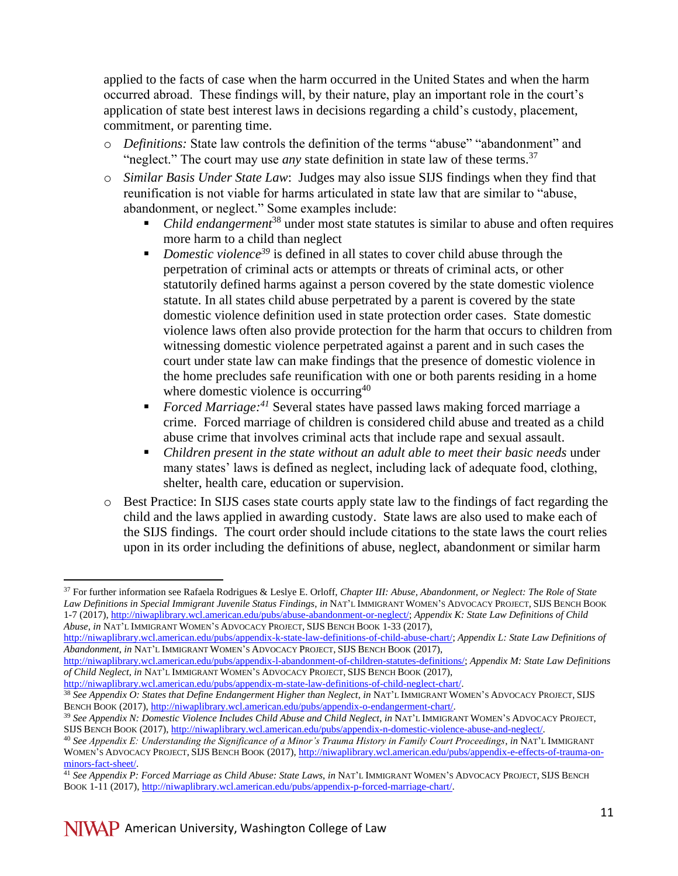applied to the facts of case when the harm occurred in the United States and when the harm occurred abroad. These findings will, by their nature, play an important role in the court's application of state best interest laws in decisions regarding a child's custody, placement, commitment, or parenting time.

- o *Definitions:* State law controls the definition of the terms "abuse" "abandonment" and "neglect." The court may use *any* state definition in state law of these terms.<sup>37</sup>
- o *Similar Basis Under State Law*: Judges may also issue SIJS findings when they find that reunification is not viable for harms articulated in state law that are similar to "abuse, abandonment, or neglect." Some examples include:
	- *Child endangerment*<sup>38</sup> under most state statutes is similar to abuse and often requires more harm to a child than neglect
	- *Domestic violence<sup>39</sup>* is defined in all states to cover child abuse through the perpetration of criminal acts or attempts or threats of criminal acts, or other statutorily defined harms against a person covered by the state domestic violence statute. In all states child abuse perpetrated by a parent is covered by the state domestic violence definition used in state protection order cases. State domestic violence laws often also provide protection for the harm that occurs to children from witnessing domestic violence perpetrated against a parent and in such cases the court under state law can make findings that the presence of domestic violence in the home precludes safe reunification with one or both parents residing in a home where domestic violence is occurring<sup>40</sup>
	- *Forced Marriage:<sup>41</sup>* Several states have passed laws making forced marriage a crime. Forced marriage of children is considered child abuse and treated as a child abuse crime that involves criminal acts that include rape and sexual assault.
	- *Children present in the state without an adult able to meet their basic needs* under many states' laws is defined as neglect, including lack of adequate food, clothing, shelter, health care, education or supervision.
- o Best Practice: In SIJS cases state courts apply state law to the findings of fact regarding the child and the laws applied in awarding custody. State laws are also used to make each of the SIJS findings. The court order should include citations to the state laws the court relies upon in its order including the definitions of abuse, neglect, abandonment or similar harm

<sup>37</sup> For further information see Rafaela Rodrigues & Leslye E. Orloff, *Chapter III: Abuse, Abandonment, or Neglect: The Role of State Law Definitions in Special Immigrant Juvenile Status Findings*, *in* NAT'L IMMIGRANT WOMEN'S ADVOCACY PROJECT, SIJS BENCH BOOK 1-7 (2017)[, http://niwaplibrary.wcl.american.edu/pubs/abuse-abandonment-or-neglect/;](http://niwaplibrary.wcl.american.edu/pubs/abuse-abandonment-or-neglect/) *Appendix K: State Law Definitions of Child Abuse*, *in* NAT'L IMMIGRANT WOMEN'S ADVOCACY PROJECT, SIJS BENCH BOOK 1-33 (2017),

[http://niwaplibrary.wcl.american.edu/pubs/appendix-k-state-law-definitions-of-child-abuse-chart/;](http://niwaplibrary.wcl.american.edu/pubs/appendix-k-state-law-definitions-of-child-abuse-chart/) *Appendix L: State Law Definitions of Abandonment*, *in* NAT'L IMMIGRANT WOMEN'S ADVOCACY PROJECT, SIJS BENCH BOOK (2017),

[http://niwaplibrary.wcl.american.edu/pubs/appendix-l-abandonment-of-children-statutes-definitions/;](http://niwaplibrary.wcl.american.edu/pubs/appendix-l-abandonment-of-children-statutes-definitions/) *Appendix M: State Law Definitions of Child Neglect*, *in* NAT'L IMMIGRANT WOMEN'S ADVOCACY PROJECT, SIJS BENCH BOOK (2017),

[http://niwaplibrary.wcl.american.edu/pubs/appendix-m-state-law-definitions-of-child-neglect-chart/.](http://niwaplibrary.wcl.american.edu/pubs/appendix-m-state-law-definitions-of-child-neglect-chart/) <sup>38</sup> See Appendix O: States that Define Endangerment Higher than Neglect, in NAT'L IMMIGRANT WOMEN'S ADVOCACY PROJECT, SIJS BENCH BOOK (2017), [http://niwaplibrary.wcl.american.edu/pubs/appendix-o-endangerment-chart/.](http://niwaplibrary.wcl.american.edu/pubs/appendix-o-endangerment-chart/)

<sup>39</sup> *See Appendix N: Domestic Violence Includes Child Abuse and Child Neglect*, *in* NAT'L IMMIGRANT WOMEN'S ADVOCACY PROJECT, SIJS BENCH BOOK (2017)[, http://niwaplibrary.wcl.american.edu/pubs/appendix-n-domestic-violence-abuse-and-neglect/.](http://niwaplibrary.wcl.american.edu/pubs/appendix-n-domestic-violence-abuse-and-neglect/)

<sup>40</sup> *See Appendix E: Understanding the Significance of a Minor's Trauma History in Family Court Proceedings*, *in* NAT'L IMMIGRANT WOMEN'S ADVOCACY PROJECT, SIJS BENCH BOOK (2017), [http://niwaplibrary.wcl.american.edu/pubs/appendix-e-effects-of-trauma-on](http://niwaplibrary.wcl.american.edu/pubs/appendix-e-effects-of-trauma-on-minors-fact-sheet/)[minors-fact-sheet/.](http://niwaplibrary.wcl.american.edu/pubs/appendix-e-effects-of-trauma-on-minors-fact-sheet/)

<sup>41</sup> *See Appendix P: Forced Marriage as Child Abuse: State Laws*, *in* NAT'L IMMIGRANT WOMEN'S ADVOCACY PROJECT, SIJS BENCH BOOK 1-11 (2017)[, http://niwaplibrary.wcl.american.edu/pubs/appendix-p-forced-marriage-chart/.](http://niwaplibrary.wcl.american.edu/pubs/appendix-p-forced-marriage-chart/)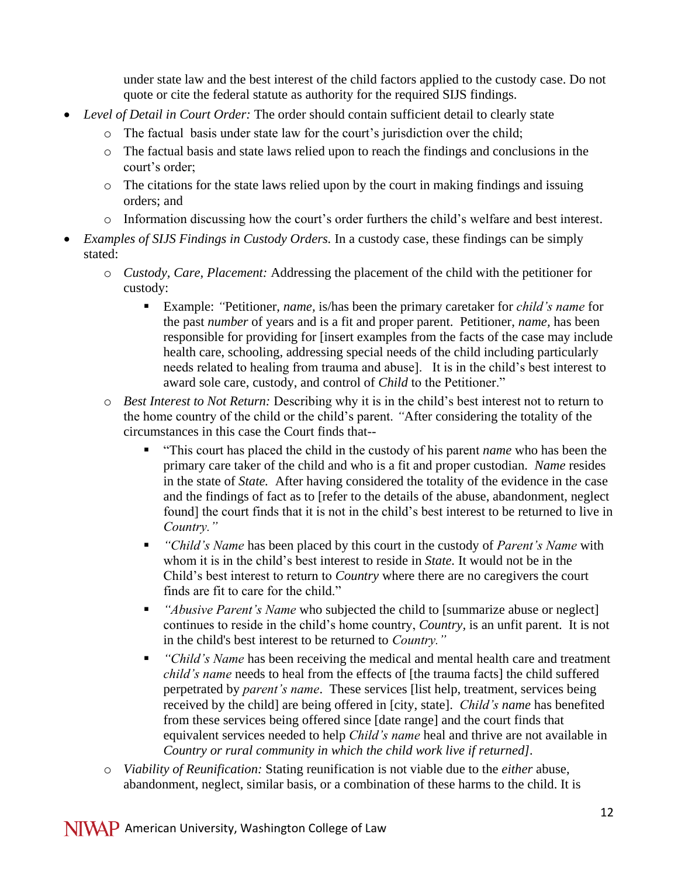under state law and the best interest of the child factors applied to the custody case. Do not quote or cite the federal statute as authority for the required SIJS findings.

- *Level of Detail in Court Order:* The order should contain sufficient detail to clearly state
	- o The factual basis under state law for the court's jurisdiction over the child;
	- o The factual basis and state laws relied upon to reach the findings and conclusions in the court's order;
	- o The citations for the state laws relied upon by the court in making findings and issuing orders; and
	- o Information discussing how the court's order furthers the child's welfare and best interest.
- *Examples of SIJS Findings in Custody Orders.* In a custody case, these findings can be simply stated:
	- o *Custody, Care, Placement:* Addressing the placement of the child with the petitioner for custody:
		- Example: *"*Petitioner, *name,* is/has been the primary caretaker for *child's name* for the past *number* of years and is a fit and proper parent. Petitioner, *name,* has been responsible for providing for [insert examples from the facts of the case may include health care, schooling, addressing special needs of the child including particularly needs related to healing from trauma and abuse]. It is in the child's best interest to award sole care, custody, and control of *Child* to the Petitioner."
	- o *Best Interest to Not Return:* Describing why it is in the child's best interest not to return to the home country of the child or the child's parent. *"*After considering the totality of the circumstances in this case the Court finds that--
		- "This court has placed the child in the custody of his parent *name* who has been the primary care taker of the child and who is a fit and proper custodian. *Name* resides in the state of *State.* After having considered the totality of the evidence in the case and the findings of fact as to [refer to the details of the abuse, abandonment, neglect found] the court finds that it is not in the child's best interest to be returned to live in *Country."*
		- *"Child's Name* has been placed by this court in the custody of *Parent's Name* with whom it is in the child's best interest to reside in *State.* It would not be in the Child's best interest to return to *Country* where there are no caregivers the court finds are fit to care for the child."
		- *"Abusive Parent's Name* who subjected the child to [summarize abuse or neglect] continues to reside in the child's home country, *Country,* is an unfit parent. It is not in the child's best interest to be returned to *Country."*
		- *"Child's Name* has been receiving the medical and mental health care and treatment *child's name* needs to heal from the effects of [the trauma facts] the child suffered perpetrated by *parent's name*. These services [list help, treatment, services being received by the child] are being offered in [city, state]. *Child's name* has benefited from these services being offered since [date range] and the court finds that equivalent services needed to help *Child's name* heal and thrive are not available in *Country or rural community in which the child work live if returned].*
	- o *Viability of Reunification:* Stating reunification is not viable due to the *either* abuse, abandonment, neglect, similar basis, or a combination of these harms to the child. It is